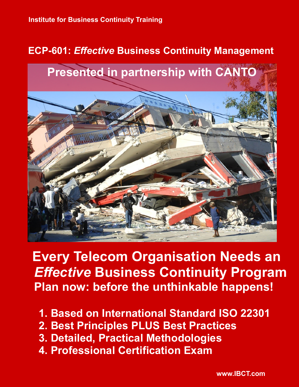# **ECP-601:** *Effective* **Business Continuity Management**



**Every Telecom Organisation Needs an** *Effective* **Business Continuity Program Plan now: before the unthinkable happens!**

- **1. Based on International Standard ISO 22301**
- **2. Best Principles PLUS Best Practices**
- **3. Detailed, Practical Methodologies**
- **4. Professional Certification Exam**

 **www.IBCT.com**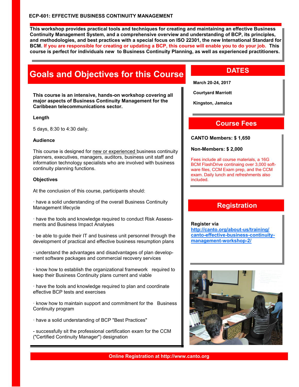**This workshop provides practical tools and techniques for creating and maintaining an effective Business Continuity Management System, and a comprehensive overview and understanding of BCP, its principles, and methodologies, and best practices with a special focus on ISO 22301, the new International Standard for BCM. If you are responsible for creating or updating a BCP, this course will enable you to do your job. This course is perfect for individuals new to Business Continuity Planning, as well as experienced practitioners.**

# **Goals and Objectives for this Course**

**This course is an intensive, hands-on workshop covering all major aspects of Business Continuity Management for the Caribbean telecommunications sector.** 

#### **Length**

5 days, 8:30 to 4:30 daily.

#### **Audience**

This course is designed for new or experienced business continuity planners, executives, managers, auditors, business unit staff and information technology specialists who are involved with business continuity planning functions.

#### **Objectives**

At the conclusion of this course, participants should:

· have a solid understanding of the overall Business Continuity Management lifecycle

· have the tools and knowledge required to conduct Risk Assessments and Business Impact Analyses

· be able to guide their IT and business unit personnel through the development of practical and effective business resumption plans

· understand the advantages and disadvantages of plan development software packages and commercial recovery services

· know how to establish the organizational framework required to keep their Business Continuity plans current and viable

· have the tools and knowledge required to plan and coordinate effective BCP tests and exercises

· know how to maintain support and commitment for the Business Continuity program

· have a solid understanding of BCP "Best Practices"

- successfully sit the professional certification exam for the CCM ("Certified Continuity Manager") designation

## **DATES**

**March 20-24, 2017**

**Courtyard Marriott**

**Kingston, Jamaica**

### **Course Fees**

**CANTO Members: \$ 1,650**

#### **Non-Members: \$ 2,000**

Fees include all course materials, a 16G BCM FlashDrive continaing over 3,000 software files, CCM Exam prep, and the CCM exam. Daily lunch and refreshments also included.

### **Registration**

**Register via [http://canto.org/about-us/training/](http://canto.org/about-us/training/canto-effective-business-continuity-management-workshop-2/) [canto-effective-business-continuity](http://canto.org/about-us/training/canto-effective-business-continuity-management-workshop-2/)[management-workshop-2/](http://canto.org/about-us/training/canto-effective-business-continuity-management-workshop-2/)**

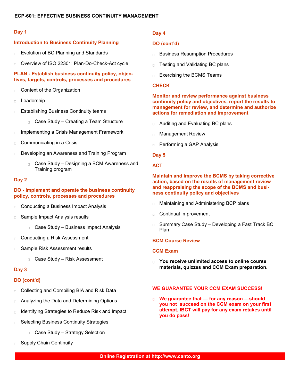#### **Day 1**

#### **Introduction to Business Continuity Planning**

- $\Box$ Evolution of BC Planning and Standards
- Overview of ISO 22301: Plan-Do-Check-Act cycle  $\Box$

#### **PLAN - Establish business continuity policy, objectives, targets, controls, processes and procedures**

- Context of the Organization  $\Box$
- Leadership  $\Box$
- Establishing Business Continuity teams  $\Box$ 
	- Case Study Creating a Team Structure
- Implementing a Crisis Management Framework  $\Box$
- Communicating in a Crisis  $\Box$
- Developing an Awareness and Training Program  $\Box$ 
	- Case Study Designing a BCM Awareness and Training program

#### **Day 2**

#### **DO - Implement and operate the business continuity policy, controls, processes and procedures**

- Conducting a Business Impact Analysis  $\Box$
- Sample Impact Analysis results  $\overline{\Box}$ 
	- □ Case Study Business Impact Analysis
- $\Box$ Conducting a Risk Assessment
- Sample Risk Assessment results
	- Case Study Risk Assessment

#### **Day 3**

#### **DO (cont'd)**

- Collecting and Compiling BIA and Risk Data  $\Box$
- Analyzing the Data and Determining Options  $\Box$
- Identifying Strategies to Reduce Risk and Impact  $\Box$
- Selecting Business Continuity Strategies  $\Box$ 
	- Case Study Strategy Selection
- Supply Chain Continuity

#### **Day 4**

#### **DO (cont'd)**

- **Business Resumption Procedures**
- Testing and Validating BC plans  $\Box$
- Exercising the BCMS Teams  $\Box$

#### **CHECK**

#### **Monitor and review performance against business continuity policy and objectives, report the results to management for review, and determine and authorize actions for remediation and improvement**

- $\Box$ Auditing and Evaluating BC plans
- Management Review  $\Box$
- Performing a GAP Analysis  $\Box$

#### **Day 5**

#### **ACT**

#### **Maintain and improve the BCMS by taking corrective action, based on the results of management review and reappraising the scope of the BCMS and business continuity policy and objectives**

- Maintaining and Administering BCP plans  $\Box$
- Continual Improvement
- $\Box$ Summary Case Study – Developing a Fast Track BC Plan

#### **BCM Course Review**

#### **CCM Exam**

**You receive unlimited access to online course materials, quizzes and CCM Exam preparation.**

#### **WE GUARANTEE YOUR CCM EXAM SUCCESS!**

**We guarantee that — for any reason —should**   $\Box$ **you not succeed on the CCM exam on your first attempt, IBCT will pay for any exam retakes until you do pass!**